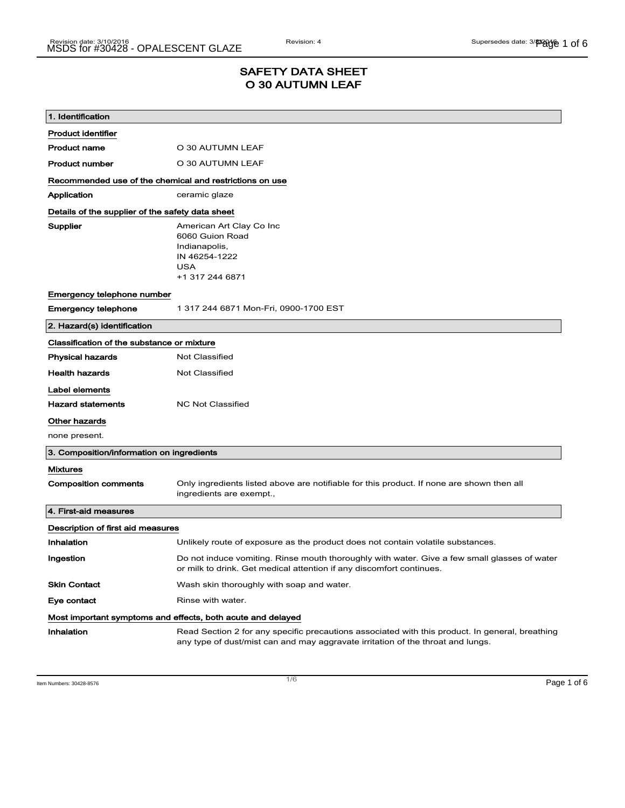### SAFETY DATA SHEET O 30 AUTUMN LEAF

| 1. Identification                                                            |                                                                                                                                                                                    |  |
|------------------------------------------------------------------------------|------------------------------------------------------------------------------------------------------------------------------------------------------------------------------------|--|
| <b>Product identifier</b>                                                    |                                                                                                                                                                                    |  |
| <b>Product name</b>                                                          | O 30 AUTUMN LEAF                                                                                                                                                                   |  |
| <b>Product number</b>                                                        | O 30 AUTUMN LEAF                                                                                                                                                                   |  |
|                                                                              | Recommended use of the chemical and restrictions on use                                                                                                                            |  |
| Application                                                                  | ceramic glaze                                                                                                                                                                      |  |
| Details of the supplier of the safety data sheet                             |                                                                                                                                                                                    |  |
| Supplier                                                                     | American Art Clay Co Inc<br>6060 Guion Road<br>Indianapolis,<br>IN 46254-1222<br><b>USA</b><br>+1 317 244 6871                                                                     |  |
| Emergency telephone number                                                   |                                                                                                                                                                                    |  |
| <b>Emergency telephone</b>                                                   | 1 317 244 6871 Mon-Fri, 0900-1700 EST                                                                                                                                              |  |
| 2. Hazard(s) identification                                                  |                                                                                                                                                                                    |  |
| Classification of the substance or mixture                                   |                                                                                                                                                                                    |  |
| <b>Physical hazards</b>                                                      | <b>Not Classified</b>                                                                                                                                                              |  |
| <b>Health hazards</b>                                                        | <b>Not Classified</b>                                                                                                                                                              |  |
| Label elements<br><b>Hazard statements</b><br>Other hazards<br>none present. | <b>NC Not Classified</b>                                                                                                                                                           |  |
| 3. Composition/information on ingredients                                    |                                                                                                                                                                                    |  |
| Mixtures                                                                     |                                                                                                                                                                                    |  |
| <b>Composition comments</b>                                                  | Only ingredients listed above are notifiable for this product. If none are shown then all<br>ingredients are exempt.,                                                              |  |
| 4. First-aid measures                                                        |                                                                                                                                                                                    |  |
| Description of first aid measures                                            |                                                                                                                                                                                    |  |
| Inhalation                                                                   | Unlikely route of exposure as the product does not contain volatile substances.                                                                                                    |  |
| Ingestion                                                                    | Do not induce vomiting. Rinse mouth thoroughly with water. Give a few small glasses of water<br>or milk to drink. Get medical attention if any discomfort continues.               |  |
| <b>Skin Contact</b>                                                          | Wash skin thoroughly with soap and water.                                                                                                                                          |  |
| Eye contact                                                                  | Rinse with water.                                                                                                                                                                  |  |
| Most important symptoms and effects, both acute and delayed                  |                                                                                                                                                                                    |  |
| Inhalation                                                                   | Read Section 2 for any specific precautions associated with this product. In general, breathing<br>any type of dust/mist can and may aggravate irritation of the throat and lungs. |  |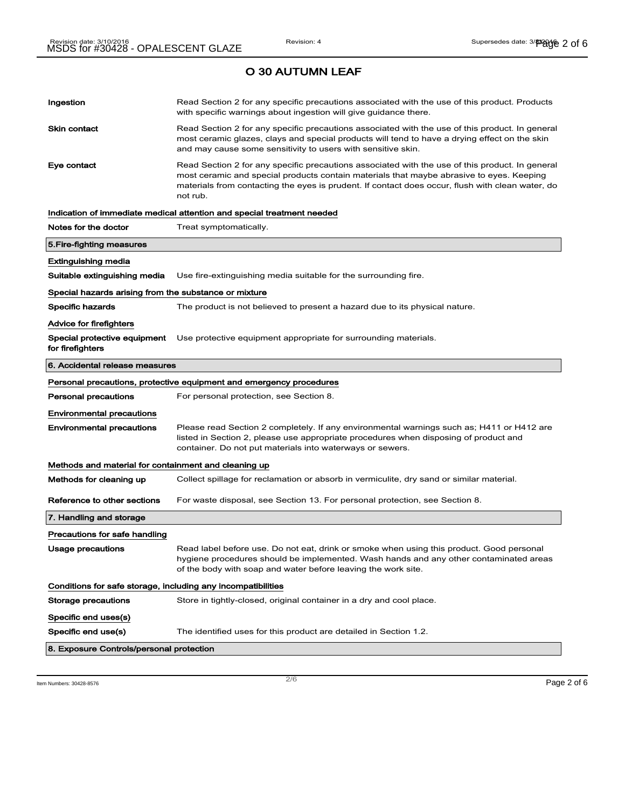# Ingestion **Read Section 2 for any specific precautions associated with the use of this product. Products** with specific warnings about ingestion will give guidance there. Skin contact **Read Section 2 for any specific precautions associated with the use of this product. In general** most ceramic glazes, clays and special products will tend to have a drying effect on the skin and may cause some sensitivity to users with sensitive skin. Eye contact **Read Section 2 for any specific precautions associated with the use of this product. In general** most ceramic and special products contain materials that maybe abrasive to eyes. Keeping materials from contacting the eyes is prudent. If contact does occur, flush with clean water, do not rub. Indication of immediate medical attention and special treatment needed Notes for the doctor Treat symptomatically. 5.Fire-fighting measures Extinguishing media Suitable extinguishing media Use fire-extinguishing media suitable for the surrounding fire. Special hazards arising from the substance or mixture Specific hazards The product is not believed to present a hazard due to its physical nature. Advice for firefighters Special protective equipment Use protective equipment appropriate for surrounding materials. for firefighters 6. Accidental release measures Personal precautions, protective equipment and emergency procedures Personal precautions For personal protection, see Section 8. Environmental precautions Environmental precautions Please read Section 2 completely. If any environmental warnings such as; H411 or H412 are listed in Section 2, please use appropriate procedures when disposing of product and container. Do not put materials into waterways or sewers. Methods and material for containment and cleaning up Methods for cleaning up Collect spillage for reclamation or absorb in vermiculite, dry sand or similar material. Reference to other sections For waste disposal, see Section 13. For personal protection, see Section 8. 7. Handling and storage Precautions for safe handling Usage precautions **Read label before use. Do not eat, drink or smoke when using this product. Good personal** hygiene procedures should be implemented. Wash hands and any other contaminated areas of the body with soap and water before leaving the work site. Conditions for safe storage, including any incompatibilities Storage precautions Store in tightly-closed, original container in a dry and cool place. Specific end uses(s) Specific end use(s) The identified uses for this product are detailed in Section 1.2. 8. Exposure Controls/personal protection

 $\overline{\phantom{a}}$ ltem Numbers: 30428-8576  $\overline{\phantom{a}}$   $\overline{\phantom{a}}$   $\overline{\phantom{a}}$   $\overline{\phantom{a}}$   $\overline{\phantom{a}}$   $\overline{\phantom{a}}$   $\overline{\phantom{a}}$   $\overline{\phantom{a}}$   $\overline{\phantom{a}}$   $\overline{\phantom{a}}$   $\overline{\phantom{a}}$   $\overline{\phantom{a}}$   $\overline{\phantom{a}}$   $\overline{\phantom{a}}$   $\overline{\phantom{a}}$   $\overline{\$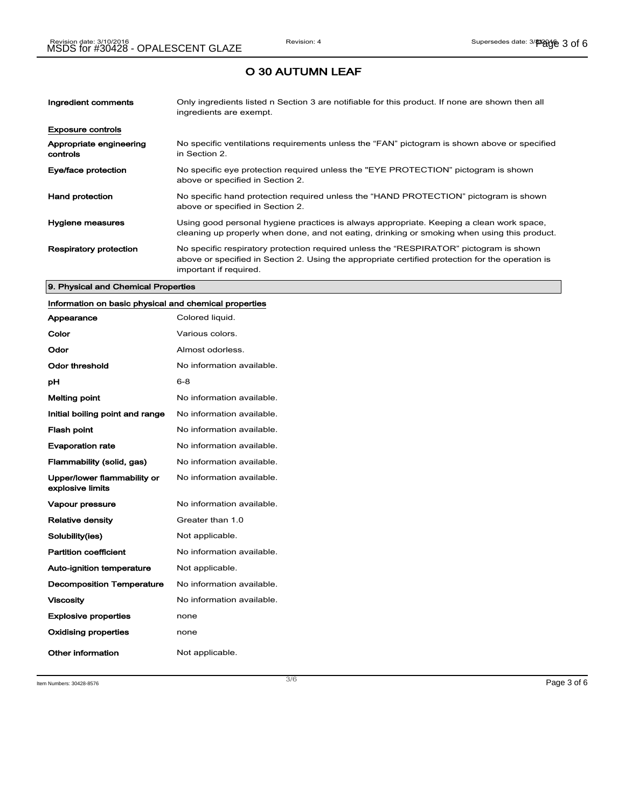| Ingredient comments                 | Only ingredients listed n Section 3 are notifiable for this product. If none are shown then all<br>ingredients are exempt.                                                                                           |
|-------------------------------------|----------------------------------------------------------------------------------------------------------------------------------------------------------------------------------------------------------------------|
| <b>Exposure controls</b>            |                                                                                                                                                                                                                      |
| Appropriate engineering<br>controls | No specific ventilations requirements unless the "FAN" pictogram is shown above or specified<br>in Section 2.                                                                                                        |
| Eye/face protection                 | No specific eye protection required unless the "EYE PROTECTION" pictogram is shown<br>above or specified in Section 2.                                                                                               |
| <b>Hand protection</b>              | No specific hand protection required unless the "HAND PROTECTION" pictogram is shown<br>above or specified in Section 2.                                                                                             |
| Hygiene measures                    | Using good personal hygiene practices is always appropriate. Keeping a clean work space,<br>cleaning up properly when done, and not eating, drinking or smoking when using this product.                             |
| <b>Respiratory protection</b>       | No specific respiratory protection required unless the "RESPIRATOR" pictogram is shown<br>above or specified in Section 2. Using the appropriate certified protection for the operation is<br>important if required. |

#### 9. Physical and Chemical Properties

## Information on basic physical and chemical properties

| Appearance                                      | Colored liquid.           |
|-------------------------------------------------|---------------------------|
| Color                                           | Various colors.           |
| Odor                                            | Almost odorless.          |
| Odor threshold                                  | No information available. |
| рH                                              | $6 - 8$                   |
| <b>Melting point</b>                            | No information available. |
| Initial boiling point and range                 | No information available. |
| <b>Flash point</b>                              | No information available. |
| <b>Evaporation rate</b>                         | No information available. |
| Flammability (solid, gas)                       | No information available. |
| Upper/lower flammability or<br>explosive limits | No information available. |
| <b>Vapour pressure</b>                          | No information available. |
| <b>Relative density</b>                         | Greater than 1.0          |
| Solubility(ies)                                 | Not applicable.           |
| <b>Partition coefficient</b>                    | No information available. |
| <b>Auto-ignition temperature</b>                | Not applicable.           |
| <b>Decomposition Temperature</b>                | No information available. |
| <b>Viscosity</b>                                | No information available. |
| <b>Explosive properties</b>                     | none                      |
| <b>Oxidising properties</b>                     | none                      |
| Other information                               | Not applicable.           |

Item Numbers: 30428-8576  $\blacksquare$  Page 3 of 6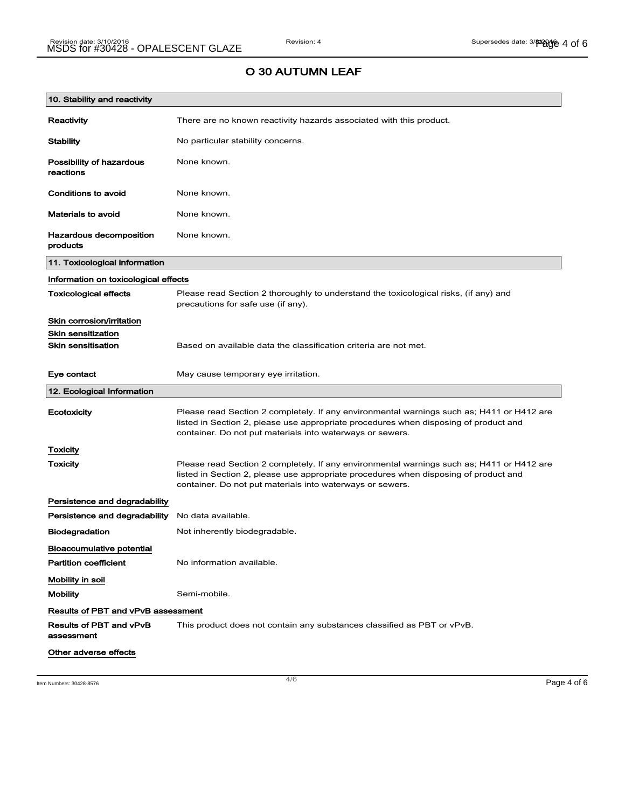| 10. Stability and reactivity              |                                                                                                                                                                                                                                                |  |
|-------------------------------------------|------------------------------------------------------------------------------------------------------------------------------------------------------------------------------------------------------------------------------------------------|--|
| Reactivity                                | There are no known reactivity hazards associated with this product.                                                                                                                                                                            |  |
| <b>Stability</b>                          | No particular stability concerns.                                                                                                                                                                                                              |  |
| Possibility of hazardous<br>reactions     | None known.                                                                                                                                                                                                                                    |  |
| Conditions to avoid                       | None known.                                                                                                                                                                                                                                    |  |
| <b>Materials to avoid</b>                 | None known.                                                                                                                                                                                                                                    |  |
| Hazardous decomposition<br>products       | None known.                                                                                                                                                                                                                                    |  |
| 11. Toxicological information             |                                                                                                                                                                                                                                                |  |
| Information on toxicological effects      |                                                                                                                                                                                                                                                |  |
| <b>Toxicological effects</b>              | Please read Section 2 thoroughly to understand the toxicological risks, (if any) and<br>precautions for safe use (if any).                                                                                                                     |  |
| Skin corrosion/irritation                 |                                                                                                                                                                                                                                                |  |
| <b>Skin sensitization</b>                 |                                                                                                                                                                                                                                                |  |
| <b>Skin sensitisation</b>                 | Based on available data the classification criteria are not met.                                                                                                                                                                               |  |
| Eye contact                               | May cause temporary eye irritation.                                                                                                                                                                                                            |  |
| 12. Ecological Information                |                                                                                                                                                                                                                                                |  |
| Ecotoxicity                               | Please read Section 2 completely. If any environmental warnings such as; H411 or H412 are<br>listed in Section 2, please use appropriate procedures when disposing of product and<br>container. Do not put materials into waterways or sewers. |  |
| Toxicity                                  |                                                                                                                                                                                                                                                |  |
| Toxicity                                  | Please read Section 2 completely. If any environmental warnings such as; H411 or H412 are<br>listed in Section 2, please use appropriate procedures when disposing of product and<br>container. Do not put materials into waterways or sewers. |  |
| Persistence and degradability             |                                                                                                                                                                                                                                                |  |
| Persistence and degradability             | No data available.                                                                                                                                                                                                                             |  |
| <b>Biodegradation</b>                     | Not inherently biodegradable.                                                                                                                                                                                                                  |  |
| <b>Bioaccumulative potential</b>          |                                                                                                                                                                                                                                                |  |
| <b>Partition coefficient</b>              | No information available.                                                                                                                                                                                                                      |  |
| Mobility in soil                          |                                                                                                                                                                                                                                                |  |
| <b>Mobility</b>                           | Semi-mobile.                                                                                                                                                                                                                                   |  |
| <b>Results of PBT and vPvB assessment</b> |                                                                                                                                                                                                                                                |  |
| Results of PBT and vPvB<br>assessment     | This product does not contain any substances classified as PBT or vPvB.                                                                                                                                                                        |  |
| Other adverse effects                     |                                                                                                                                                                                                                                                |  |

Item Numbers: 30428-8576 **Page 4 of 6**  $\overline{a}$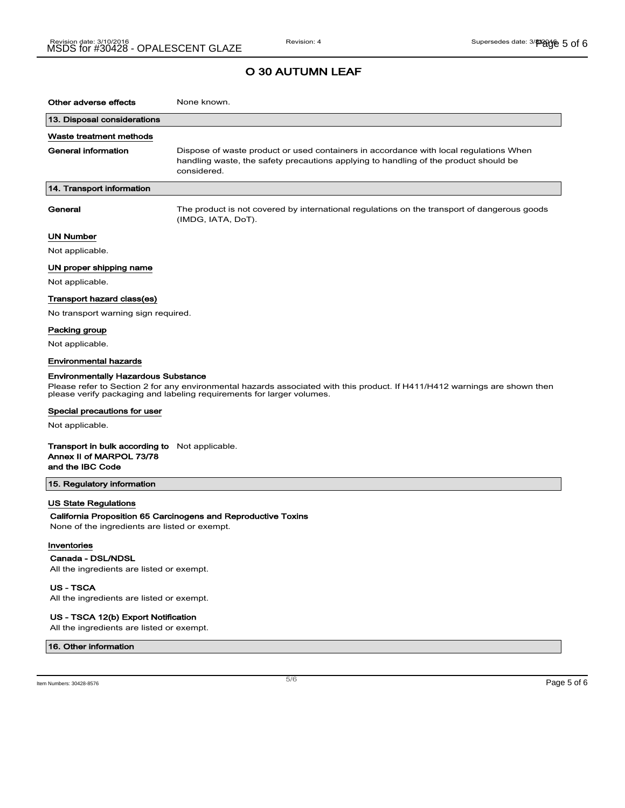### O 30 AUTUMN LEAF

| Other adverse effects                                                                                                                                                                                                                             | None known.                                                                                                                                                                                  |  |
|---------------------------------------------------------------------------------------------------------------------------------------------------------------------------------------------------------------------------------------------------|----------------------------------------------------------------------------------------------------------------------------------------------------------------------------------------------|--|
| 13. Disposal considerations                                                                                                                                                                                                                       |                                                                                                                                                                                              |  |
| Waste treatment methods                                                                                                                                                                                                                           |                                                                                                                                                                                              |  |
| <b>General information</b>                                                                                                                                                                                                                        | Dispose of waste product or used containers in accordance with local regulations When<br>handling waste, the safety precautions applying to handling of the product should be<br>considered. |  |
| 14. Transport information                                                                                                                                                                                                                         |                                                                                                                                                                                              |  |
| General                                                                                                                                                                                                                                           | The product is not covered by international regulations on the transport of dangerous goods<br>(IMDG, IATA, DoT).                                                                            |  |
| UN Number                                                                                                                                                                                                                                         |                                                                                                                                                                                              |  |
| Not applicable.                                                                                                                                                                                                                                   |                                                                                                                                                                                              |  |
| UN proper shipping name                                                                                                                                                                                                                           |                                                                                                                                                                                              |  |
| Not applicable.                                                                                                                                                                                                                                   |                                                                                                                                                                                              |  |
| Transport hazard class(es)                                                                                                                                                                                                                        |                                                                                                                                                                                              |  |
| No transport warning sign required.                                                                                                                                                                                                               |                                                                                                                                                                                              |  |
| Packing group                                                                                                                                                                                                                                     |                                                                                                                                                                                              |  |
| Not applicable.                                                                                                                                                                                                                                   |                                                                                                                                                                                              |  |
| <b>Environmental hazards</b>                                                                                                                                                                                                                      |                                                                                                                                                                                              |  |
| <b>Environmentally Hazardous Substance</b><br>Please refer to Section 2 for any environmental hazards associated with this product. If H411/H412 warnings are shown then<br>please verify packaging and labeling requirements for larger volumes. |                                                                                                                                                                                              |  |
| Special precautions for user                                                                                                                                                                                                                      |                                                                                                                                                                                              |  |
| Not applicable.                                                                                                                                                                                                                                   |                                                                                                                                                                                              |  |
| <b>Transport in bulk according to</b> Not applicable.<br>Annex II of MARPOL 73/78<br>and the IBC Code                                                                                                                                             |                                                                                                                                                                                              |  |
| 15. Regulatory information                                                                                                                                                                                                                        |                                                                                                                                                                                              |  |
| <b>US State Regulations</b><br>California Proposition 65 Carcinogens and Reproductive Toxins<br>None of the ingredients are listed or exempt.<br>Inventories<br>Canada - DSL/NDSL<br>All the ingredients are listed or exempt.                    |                                                                                                                                                                                              |  |
|                                                                                                                                                                                                                                                   |                                                                                                                                                                                              |  |

US - TSCA All the ingredients are listed or exempt.

#### US - TSCA 12(b) Export Notification

All the ingredients are listed or exempt.

#### 16. Other information